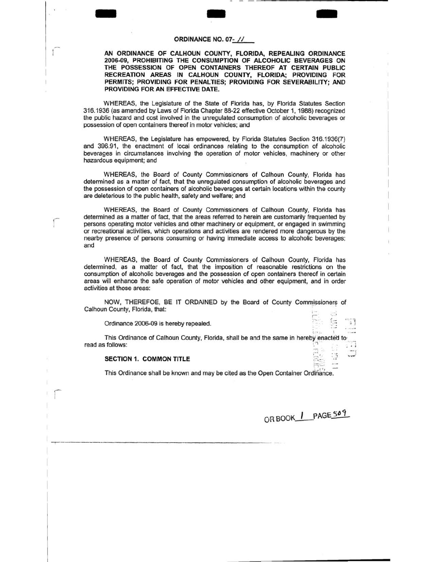# CROINANCE NO. 07- // **ORDINANCE NO. 07·** II

**AN ORDINANCE OF CALHOUN COUNTY, FLORIDA, REPEALING ORDINANCE 2006-09, PROHIBITING THE CONSUMPTION OF ALCOHOLIC BEVERAGES ON THE POSSESSION OF OPEN CONTAINERS THEREOF AT CERTAIN PUBLIC RECREATION AREAS IN CALHOUN COUNTY, FLORIDA; PROVIDING FOR**  PERMITS; PROVIDING FOR PENALTIES; PROVIDING FOR SEVERABILITY; AND **PROVIDING FOR AN EFFECTIVE DATE.** 

WHEREAS, the Legislature of the State of Florida has, by Florida Statutes Section 316.1936 (as amended by Laws of Florida Chapter 88-22 effective October 1, 1988) recognized the public hazard and cost involved in the unregulated consumption of alcoholic beverages or possession of open containers thereof in motor vehicles; and

WHEREAS, the Legislature has empowered, by Florida Statutes Section 316.1936(7) and 396.91, the enactment of local ordinances relating to the consumption of alcoholic beverages in circumstances involving the operation of motor vehicles, machinery or other hazardous equipment; and

WHEREAS, the Board of County Commissioners of Calhoun County, Florida has determined as a matter of fact, that the unregulated consumption of alcoholic beverages and the possession of open containers of alcoholic beverages at certain locations within the county are deleterious to the public health, safety and welfare; and

WHEREAS, the Board of County Commissioners of Calhoun County, Florida has determined as a matter of fact, that the areas referred to herein are customarily frequented by persons operating motor vehicles and other machinery or equipment, or engaged in swimming or recreational activities, which operations and activities are rendered more dangerous by the nearby presence of persons consuming or having immediate access to alcoholic beverages; and

WHEREAS, the Board of County Commissioners of Calhoun County, Florida has determined, as a matter of fact, that the imposition of reasonable restrictions on the consumption of alcoholic beverages and the possession of open containers thereof in certain areas will enhance the safe operation of motor vehicles and other equipment, and in order activities at those areas:

NOW, THEREFOE, BE IT ORDAINED by the Board of County Commissioners of Calhoun County, Florida, that: r-

Ordinance 2006-09 is hereby repealed.

 $f_1$   $f_2$   $f_3$   $f_4$   $f_5$   $f_6$   $f_7$   $f_8$   $f_9$   $f_9$   $f_9$   $f_9$   $f_9$   $f_9$   $f_9$   $f_9$   $f_9$   $f_9$   $f_9$   $f_9$   $f_9$   $f_9$   $f_9$   $f_9$   $f_9$   $f_9$   $f_9$   $f_9$   $f_9$   $f_9$   $f_9$   $f_9$   $f_9$   $f_9$   $f_9$   $f_9$   $f_9$ This Ordinance of Calhoun County, Florida, shall be and the same in hereby enacted to read as follows:  $\begin{bmatrix} 1 & 1 \\ 1 & 1 \end{bmatrix}$ 

#### **SECTION 1. COMMON TITLE**

r-1

This Ordinance shall be known and may be cited as the Open Container Ordinance.

OR BOOK | PAGE509

 $"$ 

- - ------------ -----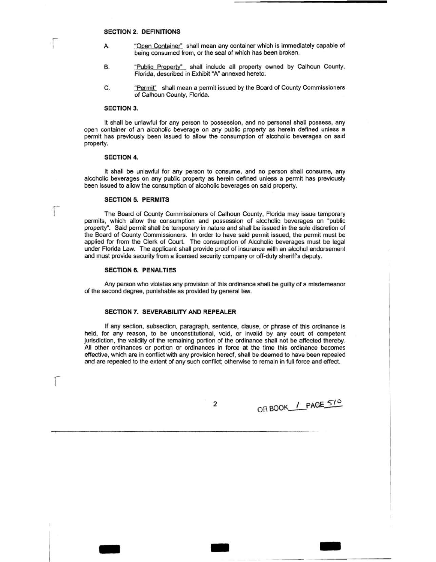#### **SECTION 2. DEFINITIONS**

- A. "Open Container" shall mean any container which is immediately capable of being consumed from, or the seal of which has been broken.
- B. "Public Property" shall include all property owned by Calhoun County, Florida, described in Exhibit "A" annexed hereto.
- C. "Permit" shall mean a permit issued by the Board of County Commissioners of Calhoun County, Florida.

#### **SECTION 3.**

r I

r

r

It shall be unlawful for any person to possession, and no personal shall possess, any open container of an alcoholic beverage on any public property as herein defined unless a permit has previously been issued to allow the consumption of alcoholic beverages on said property.

#### **SECTION 4.**

It shall be unlawful for any person to consume, and no person shall consume, any alcoholic beverages on any public property as herein defined unless a permit has previously been issued to allow the consumption of alcoholic beverages on said property.

#### **SECTION 5. PERMITS**

The Board of County Commissioners of Calhoun County, Florida may issue temporary permits, which allow the consumption and possession of alcoholic beverages on "public property". Said permit shall be temporary in nature and shall be issued in the sole discretion of the Board of County Commissioners. In order to have said permit issued, the permit must be applied for from the Clerk of Court. The consumption of Alcoholic beverages must be legal under Florida Law. The applicant shall provide proof of insurance with an alcohol endorsement and must provide security from a licensed security company or off-duty sheriff's deputy.

#### **SECTION 6. PENALTIES**

Any person who violates any provision of this ordinance shall be guilty of a misdemeanor of the second degree, punishable as provided by general law.

#### **SECTION 7. SEVERABILITY AND REPEALER**

If any section, subsection, paragraph, sentence, clause, or phrase of this ordinance is held, for any reason, to be unconstitutional, void, or invalid by any court of competent jurisdiction, the validity of the remaining portion of the ordinance shall not be affected thereby. All other ordinances or portion or ordinances in force at the time this ordinance becomes effective, which are in conflict with any provision hereof, shall be deemed to have been repealed and are repealed to the extent of any such conflict; otherwise to remain in full force and effect.

2

- .. -

OR BOOK / PAGE 510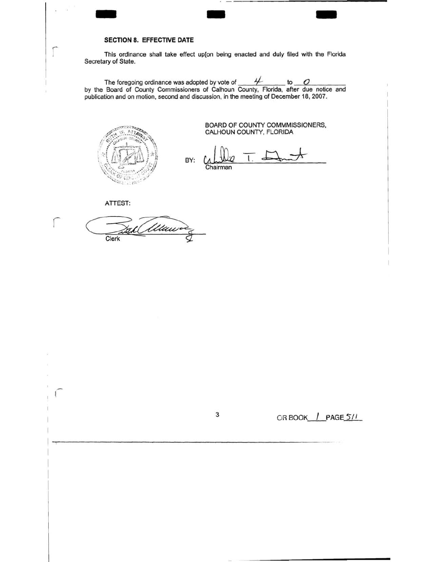# SECTION & EFFECTIVE DATE **SECTION 8. EFFECTIVE DATE**

This ordinance shall take effect up[on being enacted and duly filed with the Florida Secretary of State.

The foregoing ordinance was adopted by vote of  $\frac{4}{100}$  to  $\frac{0}{100}$ . by the Board of County Commissioners of Calhoun County, Florida, after due notice and publication and on motion, second and discussion, in the meeting of December 18, 2007.



BOARD OF COUNTY COMMMISSIONERS, CALHOUN COUNTY, FLORIDA

BY: **Chairman** 

ATTEST:

r

L Munic Clerk

 $\overline{3}$  OR BOOK  $\overline{1}$  PAGE  $\overline{5/1}$ .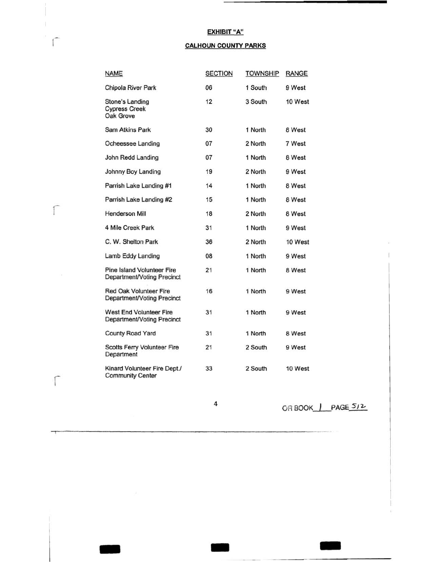### **EXHIBIT "A"**

### **CALHOUN COUNTY PARKS**

|  | <b>NAME</b>                                                     | <b>SECTION</b> | <b>TOWNSHIP</b> | <b>RANGE</b> |
|--|-----------------------------------------------------------------|----------------|-----------------|--------------|
|  | Chipola River Park                                              | 06             | 1 South         | 9 West       |
|  | Stone's Landing<br><b>Cypress Creek</b><br>Oak Grove            | 12             | 3 South         | 10 West      |
|  | Sam Atkins Park                                                 | 30             | 1 North         | 8 West       |
|  | Ocheessee Landing                                               | 07             | 2 North         | 7 West       |
|  | John Redd Landing                                               | 07             | 1 North         | 8 West       |
|  | Johnny Boy Landing                                              | 19             | 2 North         | 9 West       |
|  | Parrish Lake Landing #1                                         | 14             | 1 North         | 8 West       |
|  | Parrish Lake Landing #2                                         | 15             | 1 North         | 8 West       |
|  | <b>Henderson Mill</b>                                           | 18             | 2 North         | 8 West       |
|  | 4 Mile Creek Park                                               | 31             | 1 North         | 9 West       |
|  | C. W. Shelton Park                                              | 36             | 2 North         | 10 West      |
|  | Lamb Eddy Landing                                               | 08             | 1 North         | 9 West       |
|  | <b>Pine Island Volunteer Fire</b><br>Department/Voting Precinct | 21             | 1 North         | 8 West       |
|  | Red Oak Volunteer Fire<br>Department/Voting Precinct            | 16             | 1 North         | 9 West       |
|  | West End Volunteer Fire<br>Department/Voting Precinct           | 31             | 1 North         | 9 West       |
|  | <b>County Road Yard</b>                                         | 31             | 1 North         | 8 West       |
|  | Scotts Ferry Volunteer Fire<br>Department                       | 21             | 2 South         | 9 West       |
|  | Kinard Volunteer Fire Dept./<br><b>Community Center</b>         | 33             | 2 South         | 10 West      |

 $\Gamma$ 

 $\int$ 

 $-$  -  $-$ 

4 OR BOOK PAGE 512